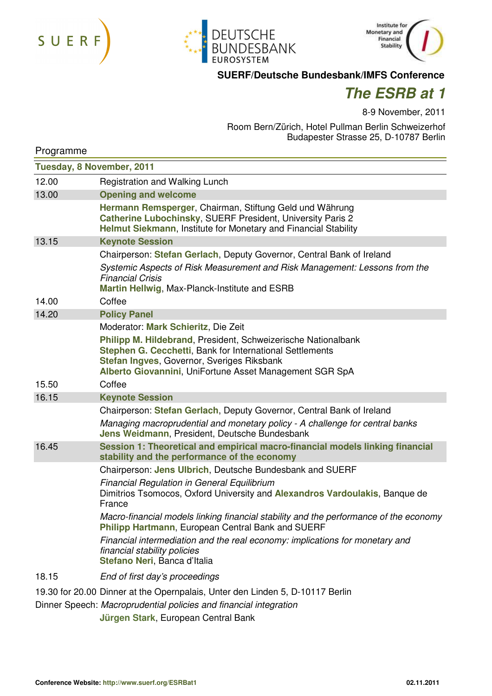





## **SUERF/Deutsche Bundesbank/IMFS Conference**

## *The ESRB at 1*

8-9 November, 2011

Room Bern/Zürich, Hotel Pullman Berlin Schweizerhof Budapester Strasse 25, D-10787 Berlin

| Programme                 |                                                                                                                                                                                                                                    |  |
|---------------------------|------------------------------------------------------------------------------------------------------------------------------------------------------------------------------------------------------------------------------------|--|
| Tuesday, 8 November, 2011 |                                                                                                                                                                                                                                    |  |
| 12.00                     | Registration and Walking Lunch                                                                                                                                                                                                     |  |
| 13.00                     | <b>Opening and welcome</b>                                                                                                                                                                                                         |  |
|                           | Hermann Remsperger, Chairman, Stiftung Geld und Währung<br>Catherine Lubochinsky, SUERF President, University Paris 2<br>Helmut Siekmann, Institute for Monetary and Financial Stability                                           |  |
| 13.15                     | <b>Keynote Session</b>                                                                                                                                                                                                             |  |
|                           | Chairperson: Stefan Gerlach, Deputy Governor, Central Bank of Ireland                                                                                                                                                              |  |
|                           | Systemic Aspects of Risk Measurement and Risk Management: Lessons from the<br><b>Financial Crisis</b><br>Martin Hellwig, Max-Planck-Institute and ESRB                                                                             |  |
| 14.00                     | Coffee                                                                                                                                                                                                                             |  |
| 14.20                     | <b>Policy Panel</b>                                                                                                                                                                                                                |  |
|                           | Moderator: Mark Schieritz, Die Zeit                                                                                                                                                                                                |  |
|                           | Philipp M. Hildebrand, President, Schweizerische Nationalbank<br>Stephen G. Cecchetti, Bank for International Settlements<br>Stefan Ingves, Governor, Sveriges Riksbank<br>Alberto Giovannini, UniFortune Asset Management SGR SpA |  |
| 15.50                     | Coffee                                                                                                                                                                                                                             |  |
| 16.15                     | <b>Keynote Session</b>                                                                                                                                                                                                             |  |
|                           | Chairperson: Stefan Gerlach, Deputy Governor, Central Bank of Ireland                                                                                                                                                              |  |
|                           | Managing macroprudential and monetary policy - A challenge for central banks<br>Jens Weidmann, President, Deutsche Bundesbank                                                                                                      |  |
| 16.45                     | Session 1: Theoretical and empirical macro-financial models linking financial<br>stability and the performance of the economy                                                                                                      |  |
|                           | Chairperson: Jens Ulbrich, Deutsche Bundesbank and SUERF                                                                                                                                                                           |  |
|                           | <b>Financial Regulation in General Equilibrium</b><br>Dimitrios Tsomocos, Oxford University and Alexandros Vardoulakis, Banque de<br>France                                                                                        |  |
|                           | Macro-financial models linking financial stability and the performance of the economy<br>Philipp Hartmann, European Central Bank and SUERF                                                                                         |  |
|                           | Financial intermediation and the real economy: implications for monetary and<br>financial stability policies<br>Stefano Neri, Banca d'Italia                                                                                       |  |
| 18.15                     | End of first day's proceedings                                                                                                                                                                                                     |  |
|                           | 19.30 for 20.00 Dinner at the Opernpalais, Unter den Linden 5, D-10117 Berlin<br>Dinner Speech: Macroprudential policies and financial integration                                                                                 |  |

 **Jürgen Stark**, European Central Bank